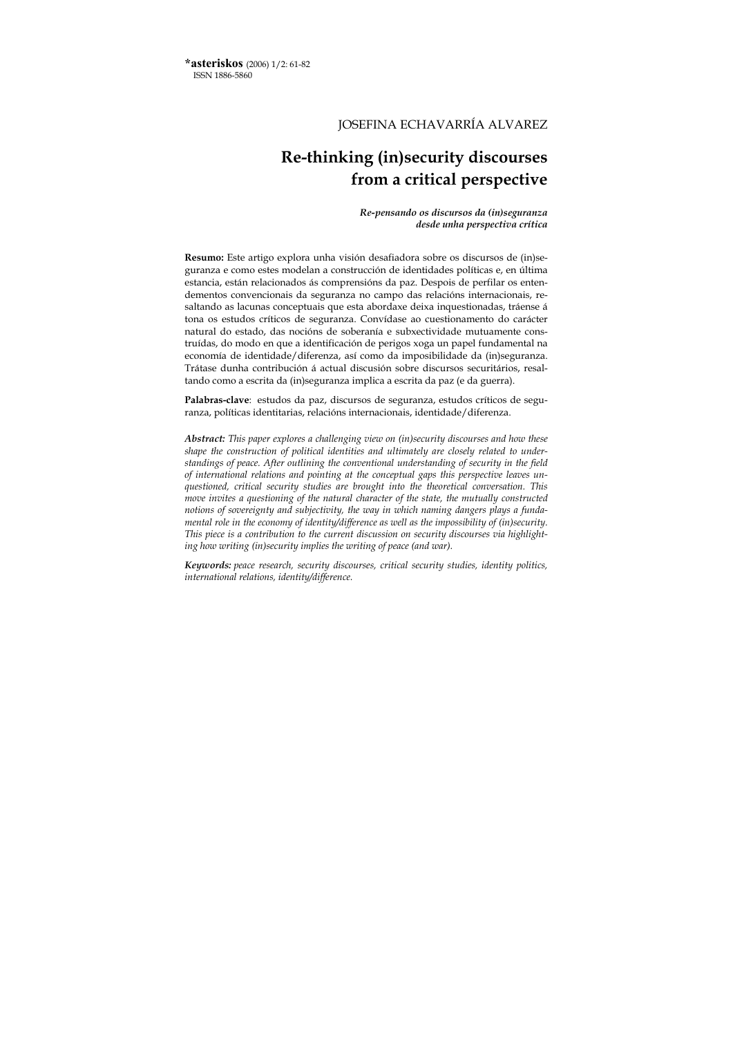**\*asteriskos** (2006) 1/2: 61-82 ISSN 1886-5860

# JOSEFINA ECHAVARRÍA ALVAREZ

# **Re-thinking (in)security discourses from a critical perspective**

*Re-pensando os discursos da (in)seguranza desde unha perspectiva crítica*

**Resumo:** Este artigo explora unha visión desafiadora sobre os discursos de (in)seguranza e como estes modelan a construcción de identidades políticas e, en última estancia, están relacionados ás comprensións da paz. Despois de perfilar os entendementos convencionais da seguranza no campo das relacións internacionais, resaltando as lacunas conceptuais que esta abordaxe deixa inquestionadas, tráense á tona os estudos críticos de seguranza. Convídase ao cuestionamento do carácter natural do estado, das nocións de soberanía e subxectividade mutuamente construídas, do modo en que a identificación de perigos xoga un papel fundamental na economía de identidade/diferenza, así como da imposibilidade da (in)seguranza. Trátase dunha contribución á actual discusión sobre discursos securitários, resaltando como a escrita da (in)seguranza implica a escrita da paz (e da guerra).

**Palabras-clave**: estudos da paz, discursos de seguranza, estudos críticos de seguranza, políticas identitarias, relacións internacionais, identidade/diferenza.

*Abstract: This paper explores a challenging view on (in)security discourses and how these shape the construction of political identities and ultimately are closely related to understandings of peace. After outlining the conventional understanding of security in the field of international relations and pointing at the conceptual gaps this perspective leaves unquestioned, critical security studies are brought into the theoretical conversation. This move invites a questioning of the natural character of the state, the mutually constructed notions of sovereignty and subjectivity, the way in which naming dangers plays a fundamental role in the economy of identity/difference as well as the impossibility of (in)security. This piece is a contribution to the current discussion on security discourses via highlighting how writing (in)security implies the writing of peace (and war).* 

*Keywords: peace research, security discourses, critical security studies, identity politics, international relations, identity/difference.*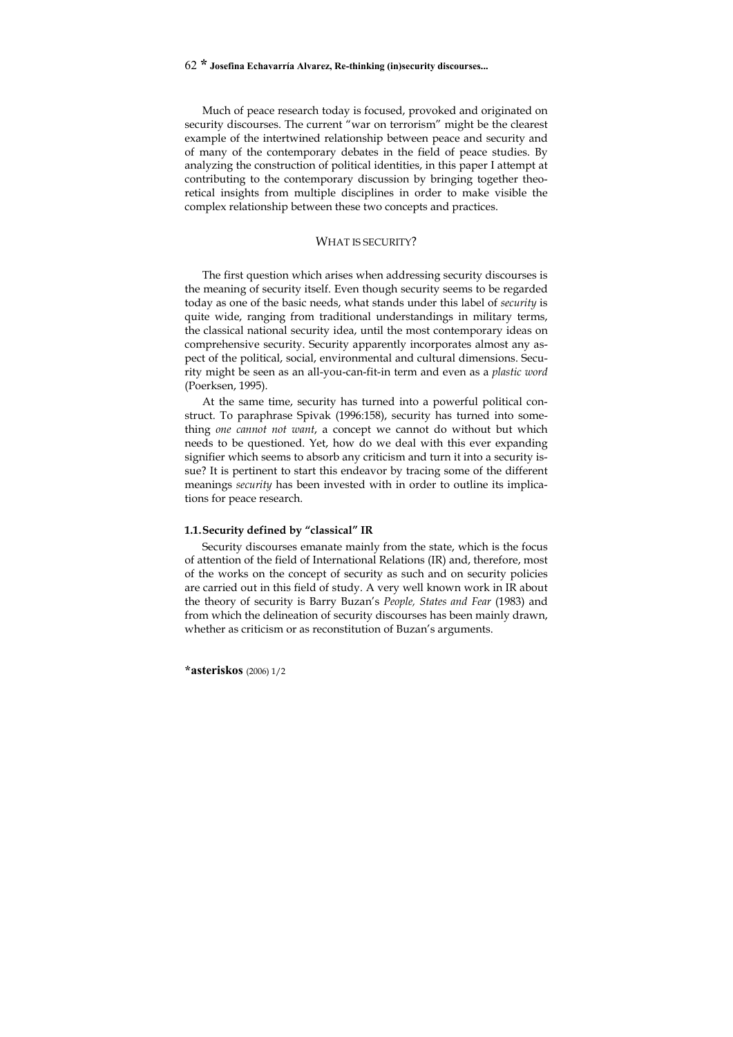Much of peace research today is focused, provoked and originated on security discourses. The current "war on terrorism" might be the clearest example of the intertwined relationship between peace and security and of many of the contemporary debates in the field of peace studies. By analyzing the construction of political identities, in this paper I attempt at contributing to the contemporary discussion by bringing together theoretical insights from multiple disciplines in order to make visible the complex relationship between these two concepts and practices.

#### WHAT IS SECURITY?

The first question which arises when addressing security discourses is the meaning of security itself. Even though security seems to be regarded today as one of the basic needs, what stands under this label of *security* is quite wide, ranging from traditional understandings in military terms, the classical national security idea, until the most contemporary ideas on comprehensive security. Security apparently incorporates almost any aspect of the political, social, environmental and cultural dimensions. Security might be seen as an all-you-can-fit-in term and even as a *plastic word* (Poerksen, 1995).

At the same time, security has turned into a powerful political construct. To paraphrase Spivak (1996:158), security has turned into something *one cannot not want*, a concept we cannot do without but which needs to be questioned. Yet, how do we deal with this ever expanding signifier which seems to absorb any criticism and turn it into a security issue? It is pertinent to start this endeavor by tracing some of the different meanings *security* has been invested with in order to outline its implications for peace research.

#### **1.1. Security defined by "classical" IR**

Security discourses emanate mainly from the state, which is the focus of attention of the field of International Relations (IR) and, therefore, most of the works on the concept of security as such and on security policies are carried out in this field of study. A very well known work in IR about the theory of security is Barry Buzan's *People, States and Fear* (1983) and from which the delineation of security discourses has been mainly drawn, whether as criticism or as reconstitution of Buzan's arguments.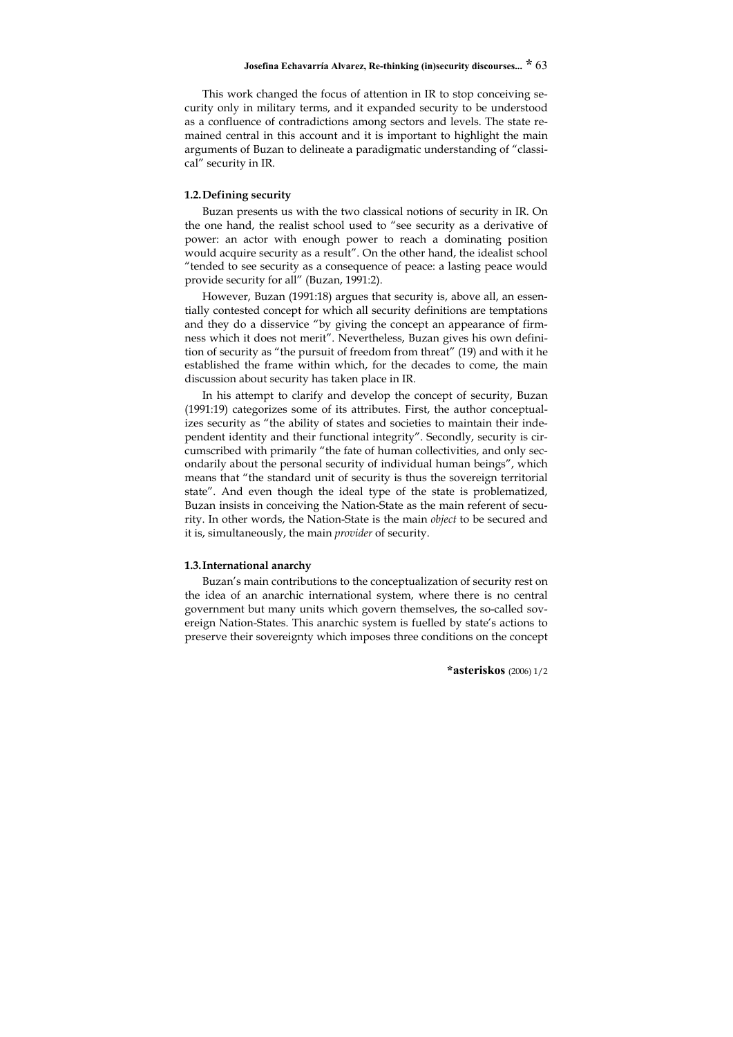This work changed the focus of attention in IR to stop conceiving security only in military terms, and it expanded security to be understood as a confluence of contradictions among sectors and levels. The state remained central in this account and it is important to highlight the main arguments of Buzan to delineate a paradigmatic understanding of "classical" security in IR.

#### **1.2. Defining security**

Buzan presents us with the two classical notions of security in IR. On the one hand, the realist school used to "see security as a derivative of power: an actor with enough power to reach a dominating position would acquire security as a result". On the other hand, the idealist school "tended to see security as a consequence of peace: a lasting peace would provide security for all" (Buzan, 1991:2).

However, Buzan (1991:18) argues that security is, above all, an essentially contested concept for which all security definitions are temptations and they do a disservice "by giving the concept an appearance of firmness which it does not merit". Nevertheless, Buzan gives his own definition of security as "the pursuit of freedom from threat" (19) and with it he established the frame within which, for the decades to come, the main discussion about security has taken place in IR.

In his attempt to clarify and develop the concept of security, Buzan (1991:19) categorizes some of its attributes. First, the author conceptualizes security as "the ability of states and societies to maintain their independent identity and their functional integrity". Secondly, security is circumscribed with primarily "the fate of human collectivities, and only secondarily about the personal security of individual human beings", which means that "the standard unit of security is thus the sovereign territorial state". And even though the ideal type of the state is problematized, Buzan insists in conceiving the Nation-State as the main referent of security. In other words, the Nation-State is the main *object* to be secured and it is, simultaneously, the main *provider* of security.

#### **1.3. International anarchy**

Buzan's main contributions to the conceptualization of security rest on the idea of an anarchic international system, where there is no central government but many units which govern themselves, the so-called sovereign Nation-States. This anarchic system is fuelled by state's actions to preserve their sovereignty which imposes three conditions on the concept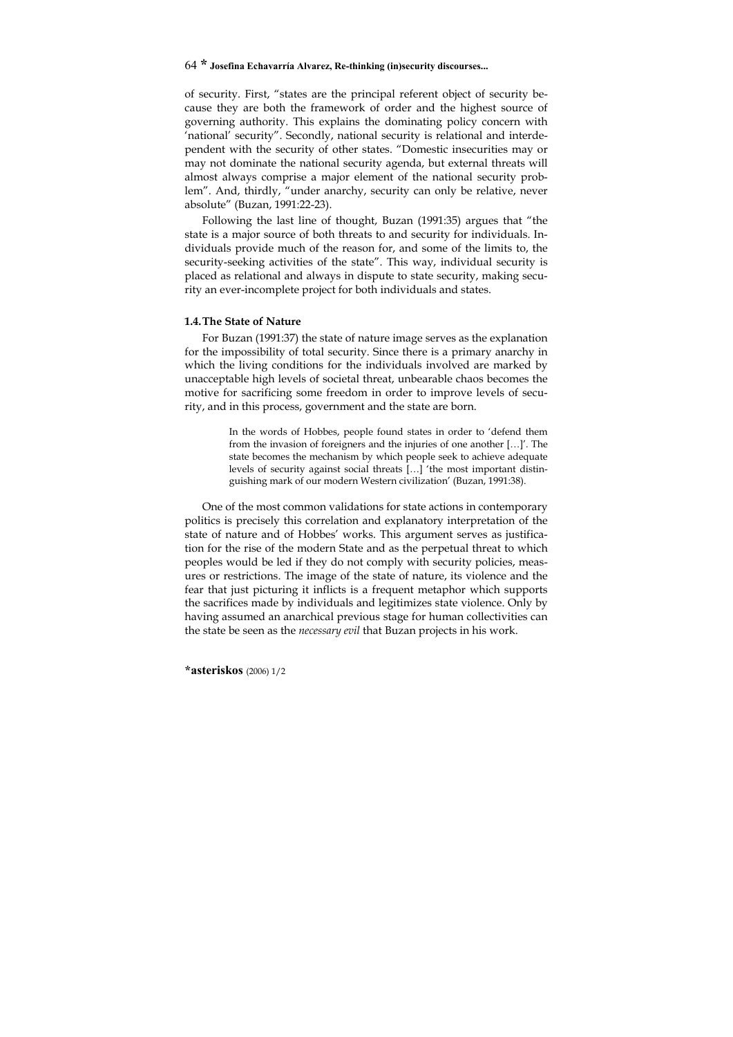of security. First, "states are the principal referent object of security because they are both the framework of order and the highest source of governing authority. This explains the dominating policy concern with 'national' security". Secondly, national security is relational and interdependent with the security of other states. "Domestic insecurities may or may not dominate the national security agenda, but external threats will almost always comprise a major element of the national security problem". And, thirdly, "under anarchy, security can only be relative, never absolute" (Buzan, 1991:22-23).

Following the last line of thought, Buzan (1991:35) argues that "the state is a major source of both threats to and security for individuals. Individuals provide much of the reason for, and some of the limits to, the security-seeking activities of the state". This way, individual security is placed as relational and always in dispute to state security, making security an ever-incomplete project for both individuals and states.

#### **1.4. The State of Nature**

For Buzan (1991:37) the state of nature image serves as the explanation for the impossibility of total security. Since there is a primary anarchy in which the living conditions for the individuals involved are marked by unacceptable high levels of societal threat, unbearable chaos becomes the motive for sacrificing some freedom in order to improve levels of security, and in this process, government and the state are born.

> In the words of Hobbes, people found states in order to 'defend them from the invasion of foreigners and the injuries of one another […]'. The state becomes the mechanism by which people seek to achieve adequate levels of security against social threats […] 'the most important distinguishing mark of our modern Western civilization' (Buzan, 1991:38).

One of the most common validations for state actions in contemporary politics is precisely this correlation and explanatory interpretation of the state of nature and of Hobbes' works. This argument serves as justification for the rise of the modern State and as the perpetual threat to which peoples would be led if they do not comply with security policies, measures or restrictions. The image of the state of nature, its violence and the fear that just picturing it inflicts is a frequent metaphor which supports the sacrifices made by individuals and legitimizes state violence. Only by having assumed an anarchical previous stage for human collectivities can the state be seen as the *necessary evil* that Buzan projects in his work.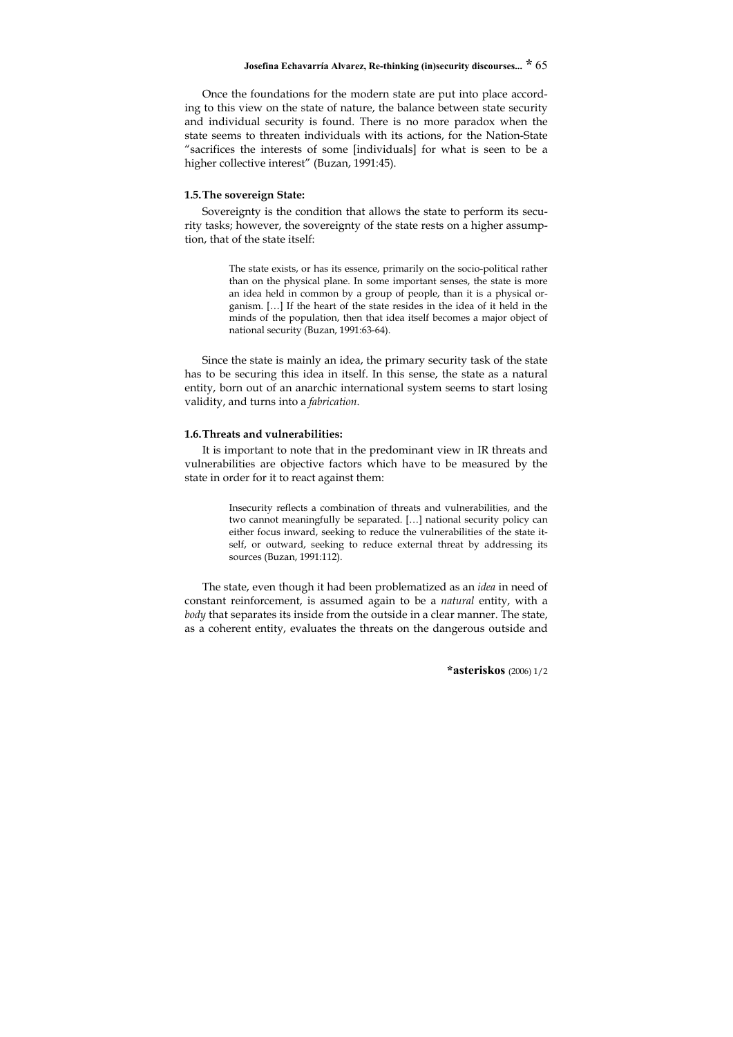Once the foundations for the modern state are put into place according to this view on the state of nature, the balance between state security and individual security is found. There is no more paradox when the state seems to threaten individuals with its actions, for the Nation-State "sacrifices the interests of some [individuals] for what is seen to be a higher collective interest" (Buzan, 1991:45).

#### **1.5. The sovereign State:**

Sovereignty is the condition that allows the state to perform its security tasks; however, the sovereignty of the state rests on a higher assumption, that of the state itself:

> The state exists, or has its essence, primarily on the socio-political rather than on the physical plane. In some important senses, the state is more an idea held in common by a group of people, than it is a physical organism. […] If the heart of the state resides in the idea of it held in the minds of the population, then that idea itself becomes a major object of national security (Buzan, 1991:63-64).

Since the state is mainly an idea, the primary security task of the state has to be securing this idea in itself. In this sense, the state as a natural entity, born out of an anarchic international system seems to start losing validity, and turns into a *fabrication*.

#### **1.6. Threats and vulnerabilities:**

It is important to note that in the predominant view in IR threats and vulnerabilities are objective factors which have to be measured by the state in order for it to react against them:

> Insecurity reflects a combination of threats and vulnerabilities, and the two cannot meaningfully be separated. […] national security policy can either focus inward, seeking to reduce the vulnerabilities of the state itself, or outward, seeking to reduce external threat by addressing its sources (Buzan, 1991:112).

The state, even though it had been problematized as an *idea* in need of constant reinforcement, is assumed again to be a *natural* entity, with a *body* that separates its inside from the outside in a clear manner. The state, as a coherent entity, evaluates the threats on the dangerous outside and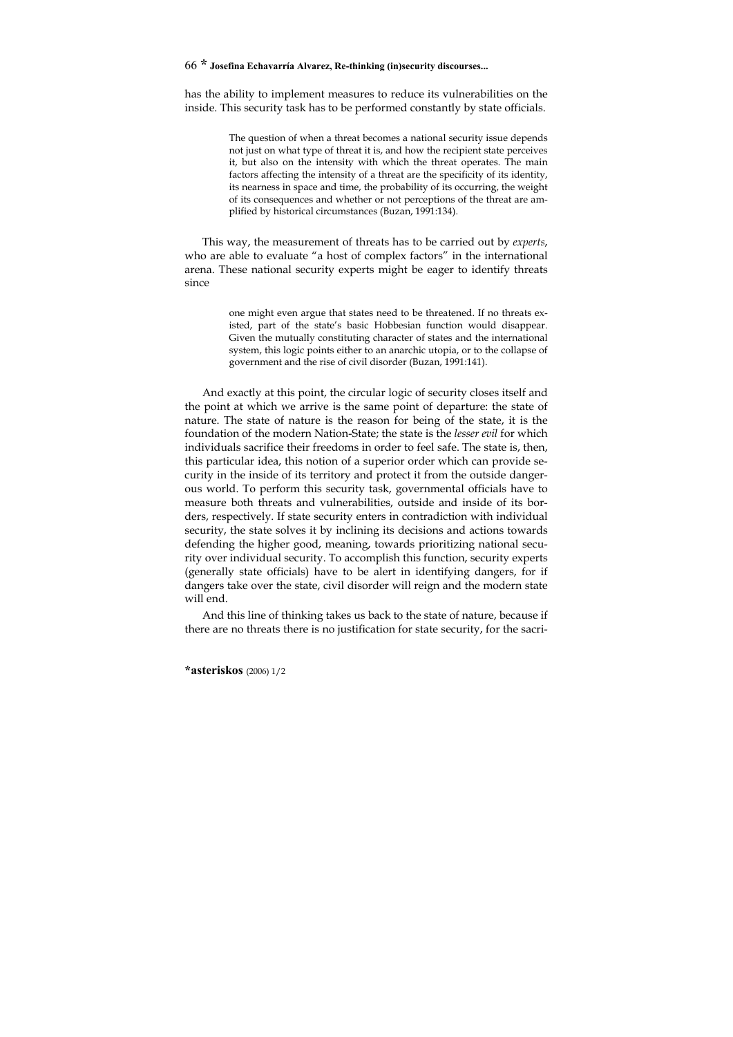has the ability to implement measures to reduce its vulnerabilities on the inside. This security task has to be performed constantly by state officials.

> The question of when a threat becomes a national security issue depends not just on what type of threat it is, and how the recipient state perceives it, but also on the intensity with which the threat operates. The main factors affecting the intensity of a threat are the specificity of its identity, its nearness in space and time, the probability of its occurring, the weight of its consequences and whether or not perceptions of the threat are amplified by historical circumstances (Buzan, 1991:134).

This way, the measurement of threats has to be carried out by *experts*, who are able to evaluate "a host of complex factors" in the international arena. These national security experts might be eager to identify threats since

> one might even argue that states need to be threatened. If no threats existed, part of the state's basic Hobbesian function would disappear. Given the mutually constituting character of states and the international system, this logic points either to an anarchic utopia, or to the collapse of government and the rise of civil disorder (Buzan, 1991:141).

And exactly at this point, the circular logic of security closes itself and the point at which we arrive is the same point of departure: the state of nature. The state of nature is the reason for being of the state, it is the foundation of the modern Nation-State; the state is the *lesser evil* for which individuals sacrifice their freedoms in order to feel safe. The state is, then, this particular idea, this notion of a superior order which can provide security in the inside of its territory and protect it from the outside dangerous world. To perform this security task, governmental officials have to measure both threats and vulnerabilities, outside and inside of its borders, respectively. If state security enters in contradiction with individual security, the state solves it by inclining its decisions and actions towards defending the higher good, meaning, towards prioritizing national security over individual security. To accomplish this function, security experts (generally state officials) have to be alert in identifying dangers, for if dangers take over the state, civil disorder will reign and the modern state will end.

And this line of thinking takes us back to the state of nature, because if there are no threats there is no justification for state security, for the sacri-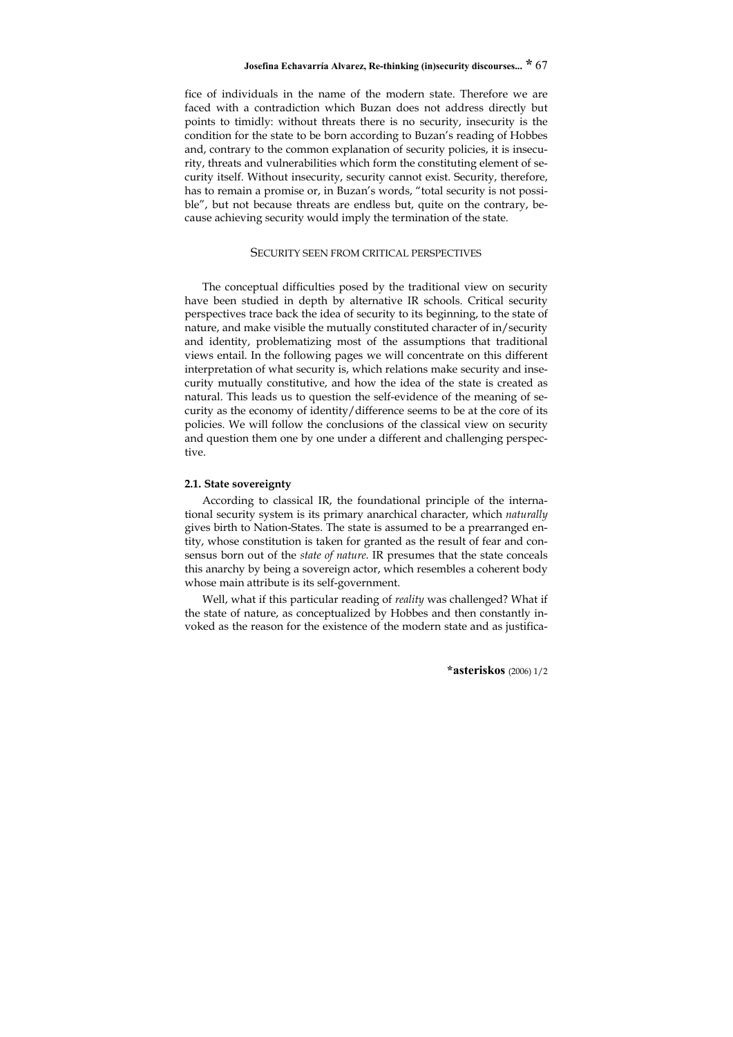fice of individuals in the name of the modern state. Therefore we are faced with a contradiction which Buzan does not address directly but points to timidly: without threats there is no security, insecurity is the condition for the state to be born according to Buzan's reading of Hobbes and, contrary to the common explanation of security policies, it is insecurity, threats and vulnerabilities which form the constituting element of security itself. Without insecurity, security cannot exist. Security, therefore, has to remain a promise or, in Buzan's words, "total security is not possible", but not because threats are endless but, quite on the contrary, because achieving security would imply the termination of the state.

#### SECURITY SEEN FROM CRITICAL PERSPECTIVES

The conceptual difficulties posed by the traditional view on security have been studied in depth by alternative IR schools. Critical security perspectives trace back the idea of security to its beginning, to the state of nature, and make visible the mutually constituted character of in/security and identity, problematizing most of the assumptions that traditional views entail. In the following pages we will concentrate on this different interpretation of what security is, which relations make security and insecurity mutually constitutive, and how the idea of the state is created as natural. This leads us to question the self-evidence of the meaning of security as the economy of identity/difference seems to be at the core of its policies. We will follow the conclusions of the classical view on security and question them one by one under a different and challenging perspective.

#### **2.1. State sovereignty**

According to classical IR, the foundational principle of the international security system is its primary anarchical character, which *naturally* gives birth to Nation-States. The state is assumed to be a prearranged entity, whose constitution is taken for granted as the result of fear and consensus born out of the *state of nature*. IR presumes that the state conceals this anarchy by being a sovereign actor, which resembles a coherent body whose main attribute is its self-government.

Well, what if this particular reading of *reality* was challenged? What if the state of nature, as conceptualized by Hobbes and then constantly invoked as the reason for the existence of the modern state and as justifica-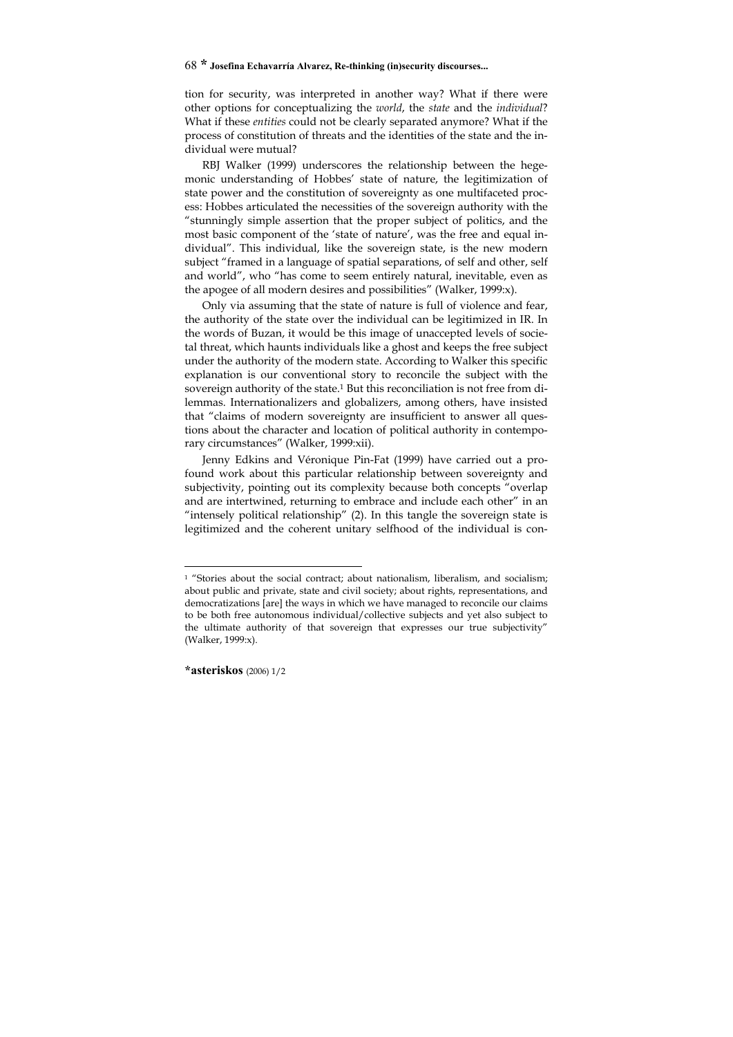tion for security, was interpreted in another way? What if there were other options for conceptualizing the *world*, the *state* and the *individual*? What if these *entities* could not be clearly separated anymore? What if the process of constitution of threats and the identities of the state and the individual were mutual?

RBJ Walker (1999) underscores the relationship between the hegemonic understanding of Hobbes' state of nature, the legitimization of state power and the constitution of sovereignty as one multifaceted process: Hobbes articulated the necessities of the sovereign authority with the "stunningly simple assertion that the proper subject of politics, and the most basic component of the 'state of nature', was the free and equal individual". This individual, like the sovereign state, is the new modern subject "framed in a language of spatial separations, of self and other, self and world", who "has come to seem entirely natural, inevitable, even as the apogee of all modern desires and possibilities" (Walker, 1999:x).

Only via assuming that the state of nature is full of violence and fear, the authority of the state over the individual can be legitimized in IR. In the words of Buzan, it would be this image of unaccepted levels of societal threat, which haunts individuals like a ghost and keeps the free subject under the authority of the modern state. According to Walker this specific explanation is our conventional story to reconcile the subject with the sovereign authority of the state.1 But this reconciliation is not free from dilemmas. Internationalizers and globalizers, among others, have insisted that "claims of modern sovereignty are insufficient to answer all questions about the character and location of political authority in contemporary circumstances" (Walker, 1999:xii).

Jenny Edkins and Véronique Pin-Fat (1999) have carried out a profound work about this particular relationship between sovereignty and subjectivity, pointing out its complexity because both concepts "overlap and are intertwined, returning to embrace and include each other" in an "intensely political relationship" (2). In this tangle the sovereign state is legitimized and the coherent unitary selfhood of the individual is con-

-

<sup>&</sup>lt;sup>1</sup> "Stories about the social contract; about nationalism, liberalism, and socialism; about public and private, state and civil society; about rights, representations, and democratizations [are] the ways in which we have managed to reconcile our claims to be both free autonomous individual/collective subjects and yet also subject to the ultimate authority of that sovereign that expresses our true subjectivity" (Walker, 1999:x).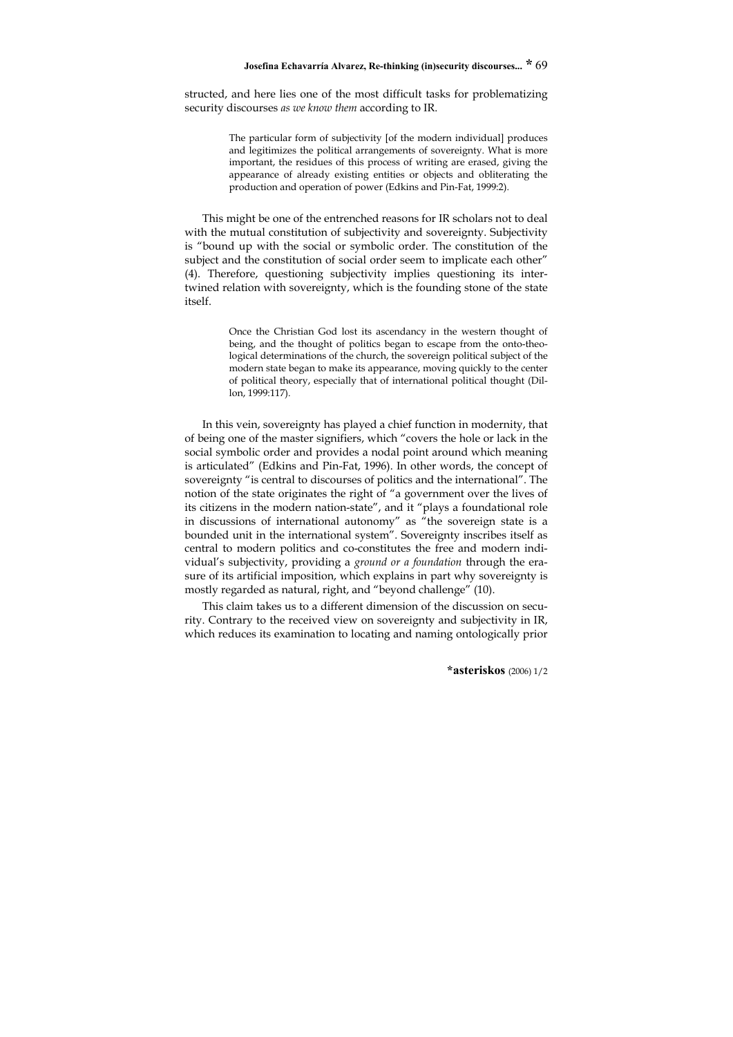structed, and here lies one of the most difficult tasks for problematizing security discourses *as we know them* according to IR.

> The particular form of subjectivity [of the modern individual] produces and legitimizes the political arrangements of sovereignty. What is more important, the residues of this process of writing are erased, giving the appearance of already existing entities or objects and obliterating the production and operation of power (Edkins and Pin-Fat, 1999:2).

This might be one of the entrenched reasons for IR scholars not to deal with the mutual constitution of subjectivity and sovereignty. Subjectivity is "bound up with the social or symbolic order. The constitution of the subject and the constitution of social order seem to implicate each other" (4). Therefore, questioning subjectivity implies questioning its intertwined relation with sovereignty, which is the founding stone of the state itself.

> Once the Christian God lost its ascendancy in the western thought of being, and the thought of politics began to escape from the onto-theological determinations of the church, the sovereign political subject of the modern state began to make its appearance, moving quickly to the center of political theory, especially that of international political thought (Dillon, 1999:117).

In this vein, sovereignty has played a chief function in modernity, that of being one of the master signifiers, which "covers the hole or lack in the social symbolic order and provides a nodal point around which meaning is articulated" (Edkins and Pin-Fat, 1996). In other words, the concept of sovereignty "is central to discourses of politics and the international". The notion of the state originates the right of "a government over the lives of its citizens in the modern nation-state", and it "plays a foundational role in discussions of international autonomy" as "the sovereign state is a bounded unit in the international system". Sovereignty inscribes itself as central to modern politics and co-constitutes the free and modern individual's subjectivity, providing a *ground or a foundation* through the erasure of its artificial imposition, which explains in part why sovereignty is mostly regarded as natural, right, and "beyond challenge" (10).

This claim takes us to a different dimension of the discussion on security. Contrary to the received view on sovereignty and subjectivity in IR, which reduces its examination to locating and naming ontologically prior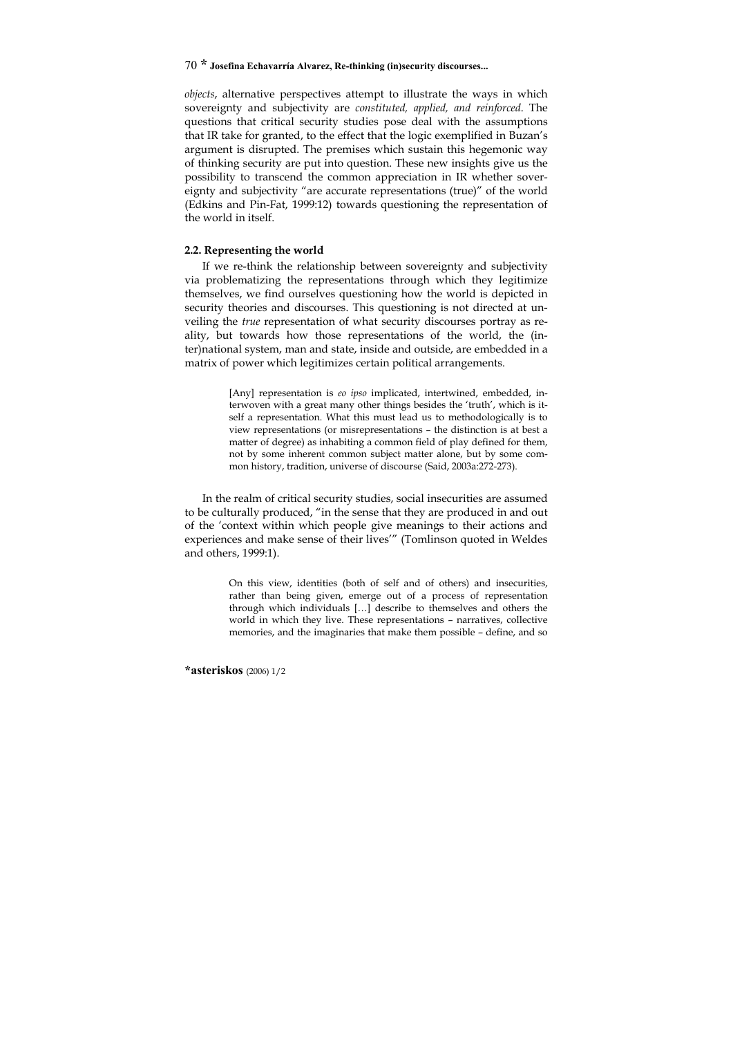*objects*, alternative perspectives attempt to illustrate the ways in which sovereignty and subjectivity are *constituted, applied, and reinforced*. The questions that critical security studies pose deal with the assumptions that IR take for granted, to the effect that the logic exemplified in Buzan's argument is disrupted. The premises which sustain this hegemonic way of thinking security are put into question. These new insights give us the possibility to transcend the common appreciation in IR whether sovereignty and subjectivity "are accurate representations (true)" of the world (Edkins and Pin-Fat, 1999:12) towards questioning the representation of the world in itself.

## **2.2. Representing the world**

If we re-think the relationship between sovereignty and subjectivity via problematizing the representations through which they legitimize themselves, we find ourselves questioning how the world is depicted in security theories and discourses. This questioning is not directed at unveiling the *true* representation of what security discourses portray as reality, but towards how those representations of the world, the (inter)national system, man and state, inside and outside, are embedded in a matrix of power which legitimizes certain political arrangements.

> [Any] representation is *eo ipso* implicated, intertwined, embedded, interwoven with a great many other things besides the 'truth', which is itself a representation. What this must lead us to methodologically is to view representations (or misrepresentations – the distinction is at best a matter of degree) as inhabiting a common field of play defined for them, not by some inherent common subject matter alone, but by some common history, tradition, universe of discourse (Said, 2003a:272-273).

In the realm of critical security studies, social insecurities are assumed to be culturally produced, "in the sense that they are produced in and out of the 'context within which people give meanings to their actions and experiences and make sense of their lives'" (Tomlinson quoted in Weldes and others, 1999:1).

> On this view, identities (both of self and of others) and insecurities, rather than being given, emerge out of a process of representation through which individuals […] describe to themselves and others the world in which they live. These representations – narratives, collective memories, and the imaginaries that make them possible – define, and so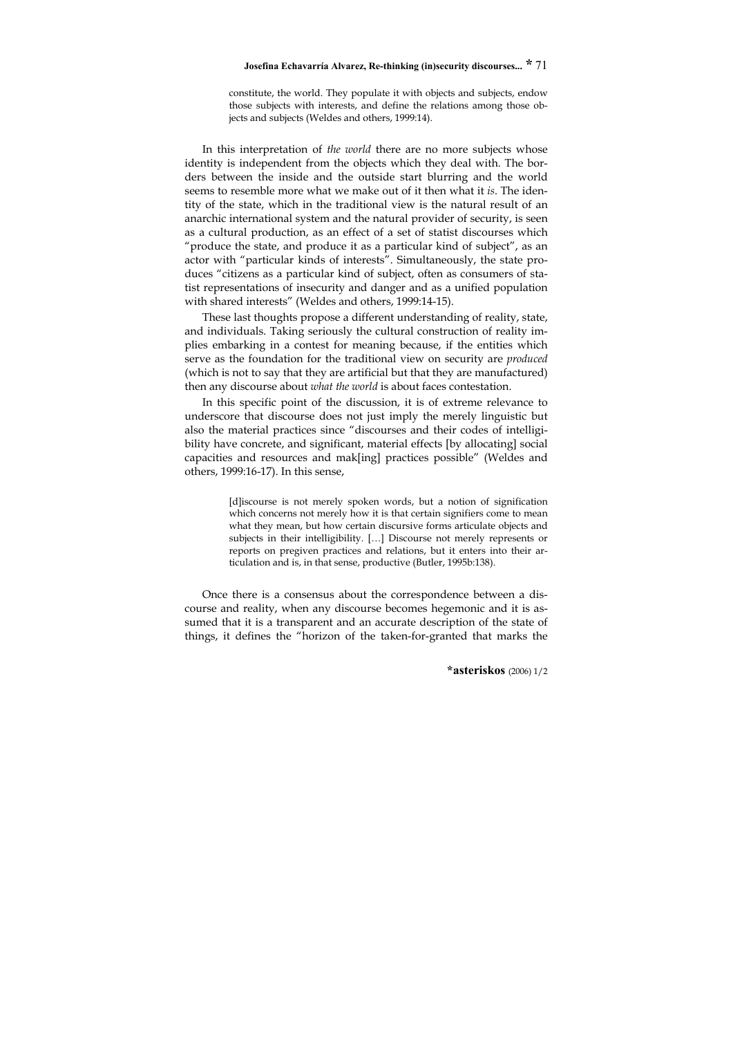constitute, the world. They populate it with objects and subjects, endow those subjects with interests, and define the relations among those objects and subjects (Weldes and others, 1999:14).

In this interpretation of *the world* there are no more subjects whose identity is independent from the objects which they deal with. The borders between the inside and the outside start blurring and the world seems to resemble more what we make out of it then what it *is*. The identity of the state, which in the traditional view is the natural result of an anarchic international system and the natural provider of security, is seen as a cultural production, as an effect of a set of statist discourses which "produce the state, and produce it as a particular kind of subject", as an actor with "particular kinds of interests". Simultaneously, the state produces "citizens as a particular kind of subject, often as consumers of statist representations of insecurity and danger and as a unified population with shared interests" (Weldes and others, 1999:14-15).

These last thoughts propose a different understanding of reality, state, and individuals. Taking seriously the cultural construction of reality implies embarking in a contest for meaning because, if the entities which serve as the foundation for the traditional view on security are *produced* (which is not to say that they are artificial but that they are manufactured) then any discourse about *what the world* is about faces contestation.

In this specific point of the discussion, it is of extreme relevance to underscore that discourse does not just imply the merely linguistic but also the material practices since "discourses and their codes of intelligibility have concrete, and significant, material effects [by allocating] social capacities and resources and mak[ing] practices possible" (Weldes and others, 1999:16-17). In this sense,

> [d]iscourse is not merely spoken words, but a notion of signification which concerns not merely how it is that certain signifiers come to mean what they mean, but how certain discursive forms articulate objects and subjects in their intelligibility. […] Discourse not merely represents or reports on pregiven practices and relations, but it enters into their articulation and is, in that sense, productive (Butler, 1995b:138).

Once there is a consensus about the correspondence between a discourse and reality, when any discourse becomes hegemonic and it is assumed that it is a transparent and an accurate description of the state of things, it defines the "horizon of the taken-for-granted that marks the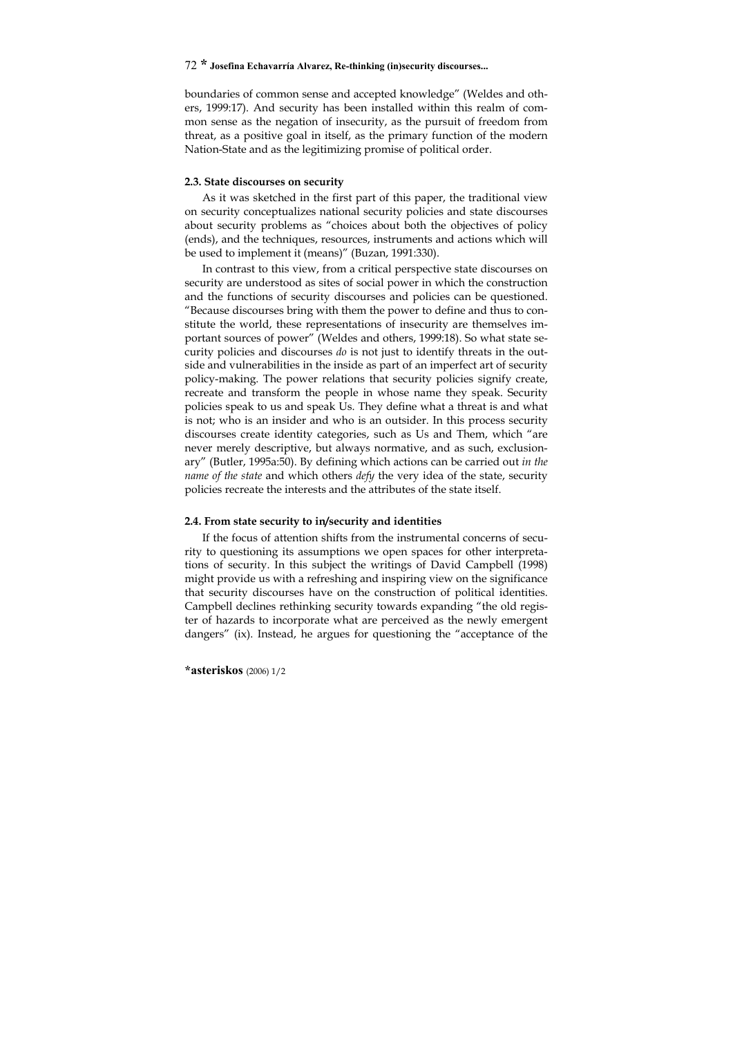boundaries of common sense and accepted knowledge" (Weldes and others, 1999:17). And security has been installed within this realm of common sense as the negation of insecurity, as the pursuit of freedom from threat, as a positive goal in itself, as the primary function of the modern Nation-State and as the legitimizing promise of political order.

#### **2.3. State discourses on security**

As it was sketched in the first part of this paper, the traditional view on security conceptualizes national security policies and state discourses about security problems as "choices about both the objectives of policy (ends), and the techniques, resources, instruments and actions which will be used to implement it (means)" (Buzan, 1991:330).

In contrast to this view, from a critical perspective state discourses on security are understood as sites of social power in which the construction and the functions of security discourses and policies can be questioned. "Because discourses bring with them the power to define and thus to constitute the world, these representations of insecurity are themselves important sources of power" (Weldes and others, 1999:18). So what state security policies and discourses *do* is not just to identify threats in the outside and vulnerabilities in the inside as part of an imperfect art of security policy-making. The power relations that security policies signify create, recreate and transform the people in whose name they speak. Security policies speak to us and speak Us. They define what a threat is and what is not; who is an insider and who is an outsider. In this process security discourses create identity categories, such as Us and Them, which "are never merely descriptive, but always normative, and as such, exclusionary" (Butler, 1995a:50). By defining which actions can be carried out *in the name of the state* and which others *defy* the very idea of the state, security policies recreate the interests and the attributes of the state itself.

#### **2.4. From state security to in/security and identities**

If the focus of attention shifts from the instrumental concerns of security to questioning its assumptions we open spaces for other interpretations of security. In this subject the writings of David Campbell (1998) might provide us with a refreshing and inspiring view on the significance that security discourses have on the construction of political identities. Campbell declines rethinking security towards expanding "the old register of hazards to incorporate what are perceived as the newly emergent dangers" (ix). Instead, he argues for questioning the "acceptance of the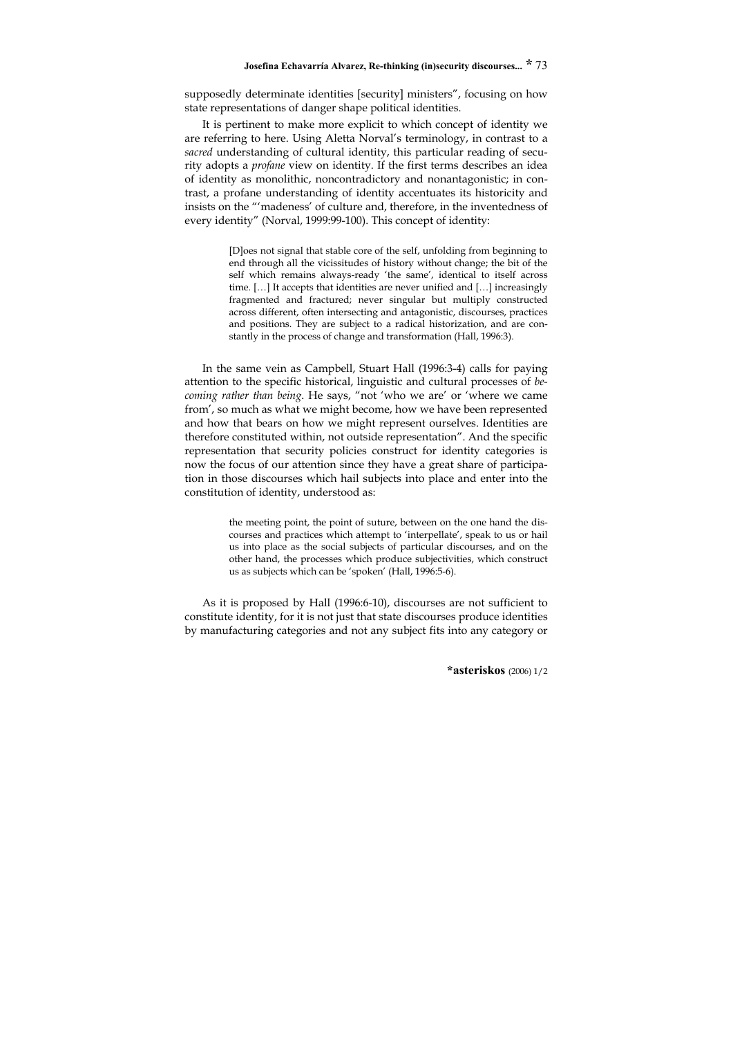supposedly determinate identities [security] ministers", focusing on how state representations of danger shape political identities.

It is pertinent to make more explicit to which concept of identity we are referring to here. Using Aletta Norval's terminology, in contrast to a *sacred* understanding of cultural identity, this particular reading of security adopts a *profane* view on identity. If the first terms describes an idea of identity as monolithic, noncontradictory and nonantagonistic; in contrast, a profane understanding of identity accentuates its historicity and insists on the "'madeness' of culture and, therefore, in the inventedness of every identity" (Norval, 1999:99-100). This concept of identity:

> [D]oes not signal that stable core of the self, unfolding from beginning to end through all the vicissitudes of history without change; the bit of the self which remains always-ready 'the same', identical to itself across time. […] It accepts that identities are never unified and […] increasingly fragmented and fractured; never singular but multiply constructed across different, often intersecting and antagonistic, discourses, practices and positions. They are subject to a radical historization, and are constantly in the process of change and transformation (Hall, 1996:3).

In the same vein as Campbell, Stuart Hall (1996:3-4) calls for paying attention to the specific historical, linguistic and cultural processes of *becoming rather than being*. He says, "not 'who we are' or 'where we came from', so much as what we might become, how we have been represented and how that bears on how we might represent ourselves. Identities are therefore constituted within, not outside representation". And the specific representation that security policies construct for identity categories is now the focus of our attention since they have a great share of participation in those discourses which hail subjects into place and enter into the constitution of identity, understood as:

> the meeting point, the point of suture, between on the one hand the discourses and practices which attempt to 'interpellate', speak to us or hail us into place as the social subjects of particular discourses, and on the other hand, the processes which produce subjectivities, which construct us as subjects which can be 'spoken' (Hall, 1996:5-6).

As it is proposed by Hall (1996:6-10), discourses are not sufficient to constitute identity, for it is not just that state discourses produce identities by manufacturing categories and not any subject fits into any category or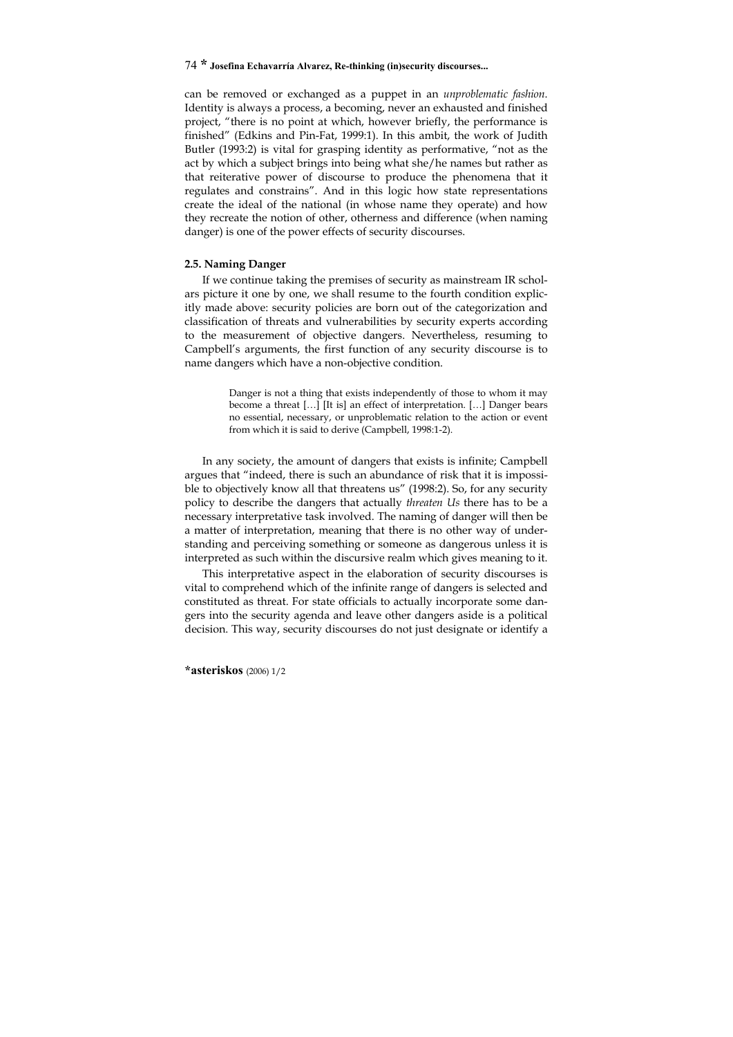can be removed or exchanged as a puppet in an *unproblematic fashion*. Identity is always a process, a becoming, never an exhausted and finished project, "there is no point at which, however briefly, the performance is finished" (Edkins and Pin-Fat, 1999:1). In this ambit, the work of Judith Butler (1993:2) is vital for grasping identity as performative, "not as the act by which a subject brings into being what she/he names but rather as that reiterative power of discourse to produce the phenomena that it regulates and constrains". And in this logic how state representations create the ideal of the national (in whose name they operate) and how they recreate the notion of other, otherness and difference (when naming danger) is one of the power effects of security discourses.

#### **2.5. Naming Danger**

If we continue taking the premises of security as mainstream IR scholars picture it one by one, we shall resume to the fourth condition explicitly made above: security policies are born out of the categorization and classification of threats and vulnerabilities by security experts according to the measurement of objective dangers. Nevertheless, resuming to Campbell's arguments, the first function of any security discourse is to name dangers which have a non-objective condition.

> Danger is not a thing that exists independently of those to whom it may become a threat […] [It is] an effect of interpretation. […] Danger bears no essential, necessary, or unproblematic relation to the action or event from which it is said to derive (Campbell, 1998:1-2).

In any society, the amount of dangers that exists is infinite; Campbell argues that "indeed, there is such an abundance of risk that it is impossible to objectively know all that threatens us" (1998:2). So, for any security policy to describe the dangers that actually *threaten Us* there has to be a necessary interpretative task involved. The naming of danger will then be a matter of interpretation, meaning that there is no other way of understanding and perceiving something or someone as dangerous unless it is interpreted as such within the discursive realm which gives meaning to it.

This interpretative aspect in the elaboration of security discourses is vital to comprehend which of the infinite range of dangers is selected and constituted as threat. For state officials to actually incorporate some dangers into the security agenda and leave other dangers aside is a political decision. This way, security discourses do not just designate or identify a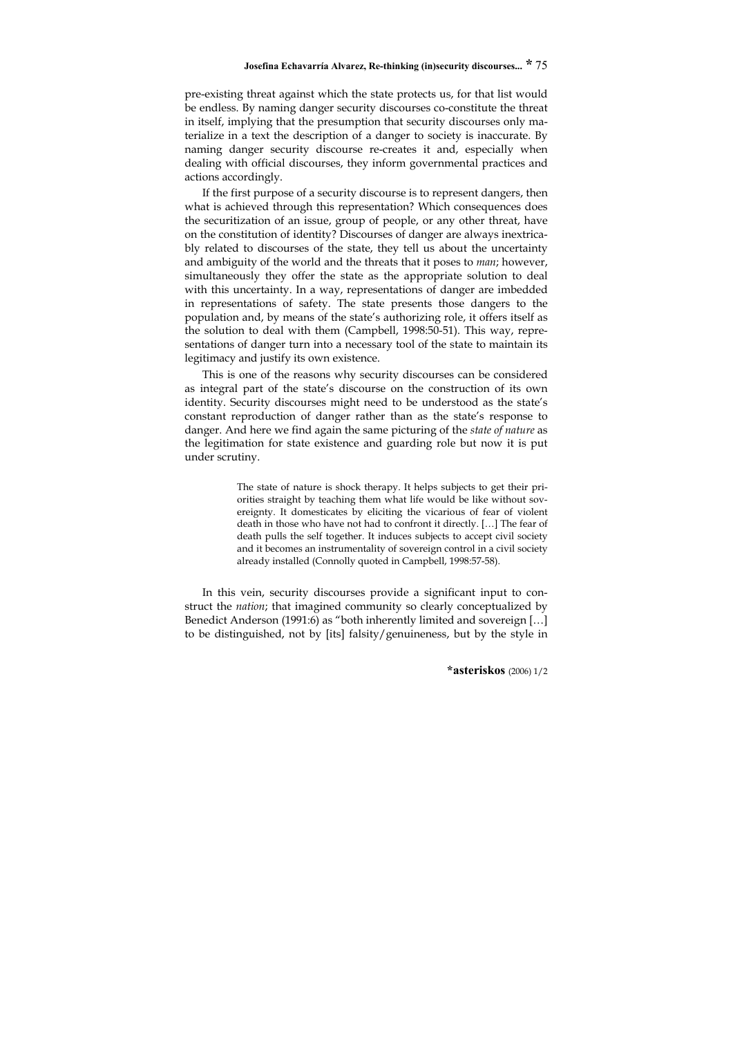pre-existing threat against which the state protects us, for that list would be endless. By naming danger security discourses co-constitute the threat in itself, implying that the presumption that security discourses only materialize in a text the description of a danger to society is inaccurate. By naming danger security discourse re-creates it and, especially when dealing with official discourses, they inform governmental practices and actions accordingly.

If the first purpose of a security discourse is to represent dangers, then what is achieved through this representation? Which consequences does the securitization of an issue, group of people, or any other threat, have on the constitution of identity? Discourses of danger are always inextricably related to discourses of the state, they tell us about the uncertainty and ambiguity of the world and the threats that it poses to *man*; however, simultaneously they offer the state as the appropriate solution to deal with this uncertainty. In a way, representations of danger are imbedded in representations of safety. The state presents those dangers to the population and, by means of the state's authorizing role, it offers itself as the solution to deal with them (Campbell, 1998:50-51). This way, representations of danger turn into a necessary tool of the state to maintain its legitimacy and justify its own existence.

This is one of the reasons why security discourses can be considered as integral part of the state's discourse on the construction of its own identity. Security discourses might need to be understood as the state's constant reproduction of danger rather than as the state's response to danger. And here we find again the same picturing of the *state of nature* as the legitimation for state existence and guarding role but now it is put under scrutiny.

> The state of nature is shock therapy. It helps subjects to get their priorities straight by teaching them what life would be like without sovereignty. It domesticates by eliciting the vicarious of fear of violent death in those who have not had to confront it directly. […] The fear of death pulls the self together. It induces subjects to accept civil society and it becomes an instrumentality of sovereign control in a civil society already installed (Connolly quoted in Campbell, 1998:57-58).

In this vein, security discourses provide a significant input to construct the *nation*; that imagined community so clearly conceptualized by Benedict Anderson (1991:6) as "both inherently limited and sovereign [...] to be distinguished, not by [its] falsity/genuineness, but by the style in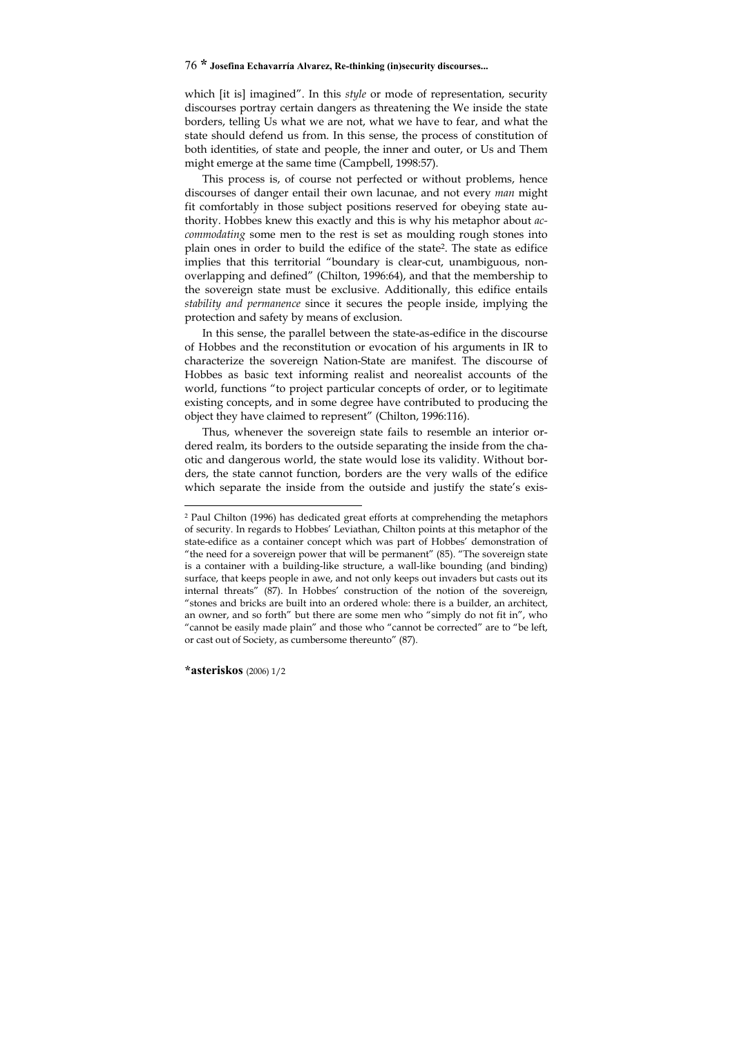which [it is] imagined". In this *style* or mode of representation, security discourses portray certain dangers as threatening the We inside the state borders, telling Us what we are not, what we have to fear, and what the state should defend us from. In this sense, the process of constitution of both identities, of state and people, the inner and outer, or Us and Them might emerge at the same time (Campbell, 1998:57).

This process is, of course not perfected or without problems, hence discourses of danger entail their own lacunae, and not every *man* might fit comfortably in those subject positions reserved for obeying state authority. Hobbes knew this exactly and this is why his metaphor about *accommodating* some men to the rest is set as moulding rough stones into plain ones in order to build the edifice of the state2. The state as edifice implies that this territorial "boundary is clear-cut, unambiguous, nonoverlapping and defined" (Chilton, 1996:64), and that the membership to the sovereign state must be exclusive. Additionally, this edifice entails *stability and permanence* since it secures the people inside, implying the protection and safety by means of exclusion.

In this sense, the parallel between the state-as-edifice in the discourse of Hobbes and the reconstitution or evocation of his arguments in IR to characterize the sovereign Nation-State are manifest. The discourse of Hobbes as basic text informing realist and neorealist accounts of the world, functions "to project particular concepts of order, or to legitimate existing concepts, and in some degree have contributed to producing the object they have claimed to represent" (Chilton, 1996:116).

Thus, whenever the sovereign state fails to resemble an interior ordered realm, its borders to the outside separating the inside from the chaotic and dangerous world, the state would lose its validity. Without borders, the state cannot function, borders are the very walls of the edifice which separate the inside from the outside and justify the state's exis-

1

<sup>2</sup> Paul Chilton (1996) has dedicated great efforts at comprehending the metaphors of security. In regards to Hobbes' Leviathan, Chilton points at this metaphor of the state-edifice as a container concept which was part of Hobbes' demonstration of "the need for a sovereign power that will be permanent" (85). "The sovereign state is a container with a building-like structure, a wall-like bounding (and binding) surface, that keeps people in awe, and not only keeps out invaders but casts out its internal threats" (87). In Hobbes' construction of the notion of the sovereign, "stones and bricks are built into an ordered whole: there is a builder, an architect, an owner, and so forth" but there are some men who "simply do not fit in", who "cannot be easily made plain" and those who "cannot be corrected" are to "be left, or cast out of Society, as cumbersome thereunto" (87).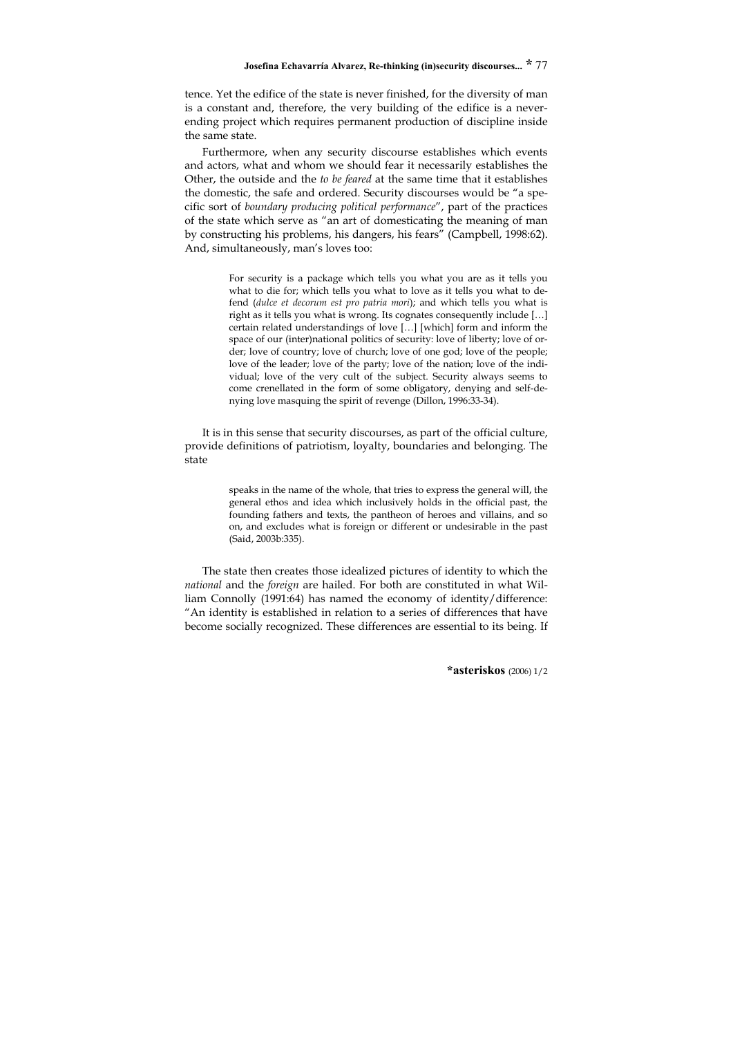tence. Yet the edifice of the state is never finished, for the diversity of man is a constant and, therefore, the very building of the edifice is a neverending project which requires permanent production of discipline inside the same state.

Furthermore, when any security discourse establishes which events and actors, what and whom we should fear it necessarily establishes the Other, the outside and the *to be feared* at the same time that it establishes the domestic, the safe and ordered. Security discourses would be "a specific sort of *boundary producing political performance*", part of the practices of the state which serve as "an art of domesticating the meaning of man by constructing his problems, his dangers, his fears" (Campbell, 1998:62). And, simultaneously, man's loves too:

> For security is a package which tells you what you are as it tells you what to die for; which tells you what to love as it tells you what to defend (*dulce et decorum est pro patria mori*); and which tells you what is right as it tells you what is wrong. Its cognates consequently include […] certain related understandings of love […] [which] form and inform the space of our (inter)national politics of security: love of liberty; love of order; love of country; love of church; love of one god; love of the people; love of the leader; love of the party; love of the nation; love of the individual; love of the very cult of the subject. Security always seems to come crenellated in the form of some obligatory, denying and self-denying love masquing the spirit of revenge (Dillon, 1996:33-34).

It is in this sense that security discourses, as part of the official culture, provide definitions of patriotism, loyalty, boundaries and belonging. The state

> speaks in the name of the whole, that tries to express the general will, the general ethos and idea which inclusively holds in the official past, the founding fathers and texts, the pantheon of heroes and villains, and so on, and excludes what is foreign or different or undesirable in the past (Said, 2003b:335).

The state then creates those idealized pictures of identity to which the *national* and the *foreign* are hailed. For both are constituted in what William Connolly (1991:64) has named the economy of identity/difference: "An identity is established in relation to a series of differences that have become socially recognized. These differences are essential to its being. If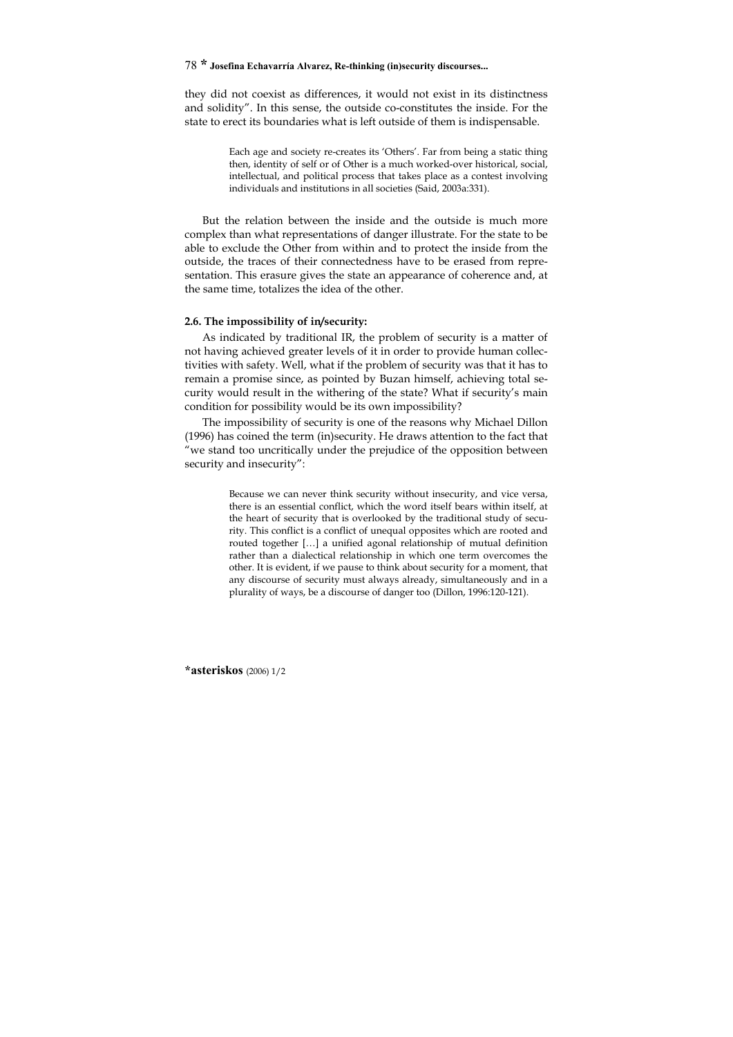they did not coexist as differences, it would not exist in its distinctness and solidity". In this sense, the outside co-constitutes the inside. For the state to erect its boundaries what is left outside of them is indispensable.

> Each age and society re-creates its 'Others'. Far from being a static thing then, identity of self or of Other is a much worked-over historical, social, intellectual, and political process that takes place as a contest involving individuals and institutions in all societies (Said, 2003a:331).

But the relation between the inside and the outside is much more complex than what representations of danger illustrate. For the state to be able to exclude the Other from within and to protect the inside from the outside, the traces of their connectedness have to be erased from representation. This erasure gives the state an appearance of coherence and, at the same time, totalizes the idea of the other.

#### **2.6. The impossibility of in/security:**

As indicated by traditional IR, the problem of security is a matter of not having achieved greater levels of it in order to provide human collectivities with safety. Well, what if the problem of security was that it has to remain a promise since, as pointed by Buzan himself, achieving total security would result in the withering of the state? What if security's main condition for possibility would be its own impossibility?

The impossibility of security is one of the reasons why Michael Dillon (1996) has coined the term (in)security. He draws attention to the fact that "we stand too uncritically under the prejudice of the opposition between security and insecurity":

> Because we can never think security without insecurity, and vice versa, there is an essential conflict, which the word itself bears within itself, at the heart of security that is overlooked by the traditional study of security. This conflict is a conflict of unequal opposites which are rooted and routed together […] a unified agonal relationship of mutual definition rather than a dialectical relationship in which one term overcomes the other. It is evident, if we pause to think about security for a moment, that any discourse of security must always already, simultaneously and in a plurality of ways, be a discourse of danger too (Dillon, 1996:120-121).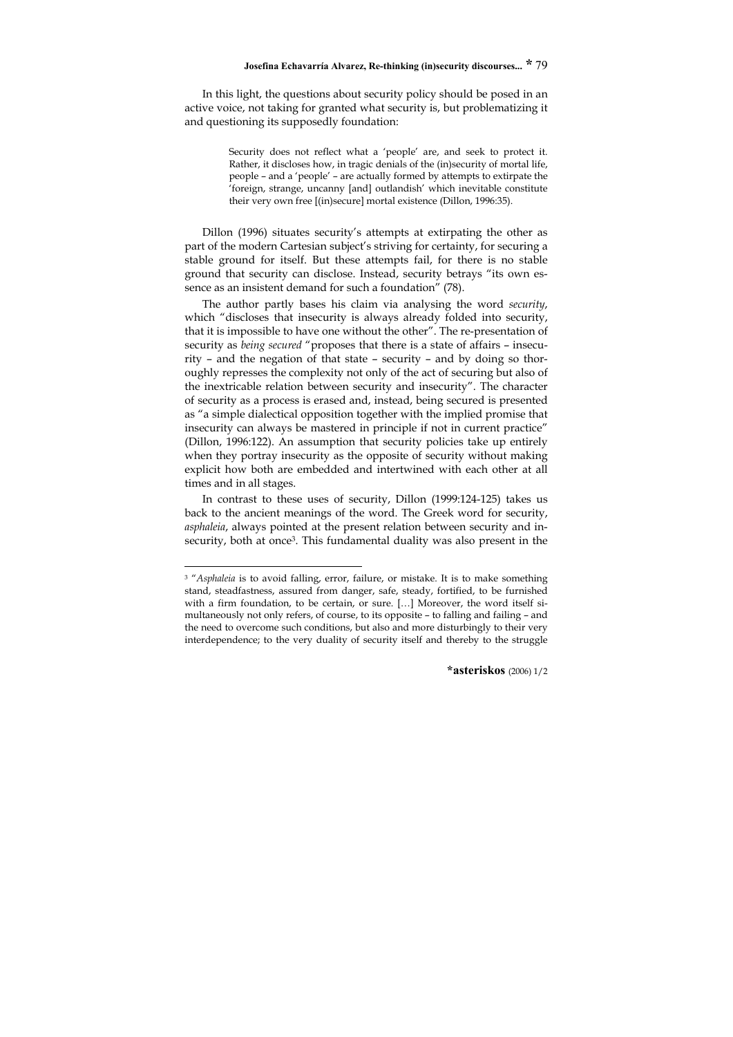In this light, the questions about security policy should be posed in an active voice, not taking for granted what security is, but problematizing it and questioning its supposedly foundation:

> Security does not reflect what a 'people' are, and seek to protect it. Rather, it discloses how, in tragic denials of the (in)security of mortal life, people – and a 'people' – are actually formed by attempts to extirpate the 'foreign, strange, uncanny [and] outlandish' which inevitable constitute their very own free [(in)secure] mortal existence (Dillon, 1996:35).

Dillon (1996) situates security's attempts at extirpating the other as part of the modern Cartesian subject's striving for certainty, for securing a stable ground for itself. But these attempts fail, for there is no stable ground that security can disclose. Instead, security betrays "its own essence as an insistent demand for such a foundation" (78).

The author partly bases his claim via analysing the word *security*, which "discloses that insecurity is always already folded into security, that it is impossible to have one without the other". The re-presentation of security as *being secured* "proposes that there is a state of affairs – insecurity – and the negation of that state – security – and by doing so thoroughly represses the complexity not only of the act of securing but also of the inextricable relation between security and insecurity". The character of security as a process is erased and, instead, being secured is presented as "a simple dialectical opposition together with the implied promise that insecurity can always be mastered in principle if not in current practice" (Dillon, 1996:122). An assumption that security policies take up entirely when they portray insecurity as the opposite of security without making explicit how both are embedded and intertwined with each other at all times and in all stages.

In contrast to these uses of security, Dillon (1999:124-125) takes us back to the ancient meanings of the word. The Greek word for security, *asphaleia*, always pointed at the present relation between security and insecurity, both at once<sup>3</sup>. This fundamental duality was also present in the

-

<sup>3 &</sup>quot;*Asphaleia* is to avoid falling, error, failure, or mistake. It is to make something stand, steadfastness, assured from danger, safe, steady, fortified, to be furnished with a firm foundation, to be certain, or sure. […] Moreover, the word itself simultaneously not only refers, of course, to its opposite – to falling and failing – and the need to overcome such conditions, but also and more disturbingly to their very interdependence; to the very duality of security itself and thereby to the struggle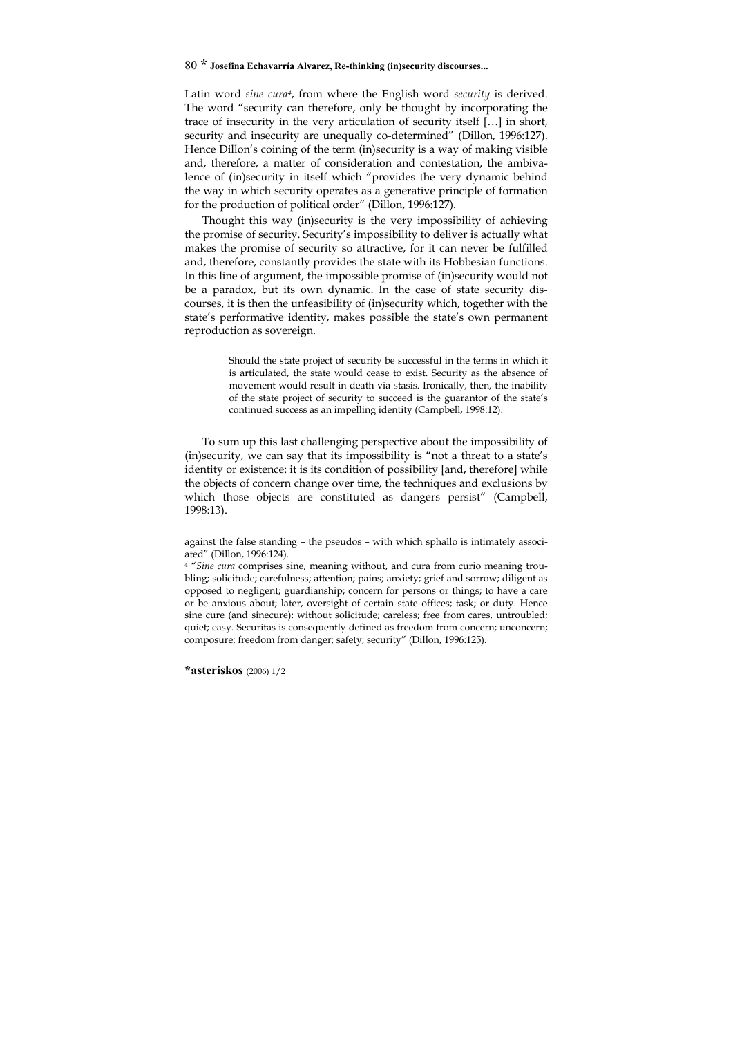Latin word *sine cura4*, from where the English word *security* is derived. The word "security can therefore, only be thought by incorporating the trace of insecurity in the very articulation of security itself […] in short, security and insecurity are unequally co-determined" (Dillon, 1996:127). Hence Dillon's coining of the term (in)security is a way of making visible and, therefore, a matter of consideration and contestation, the ambivalence of (in)security in itself which "provides the very dynamic behind the way in which security operates as a generative principle of formation for the production of political order" (Dillon, 1996:127).

Thought this way (in)security is the very impossibility of achieving the promise of security. Security's impossibility to deliver is actually what makes the promise of security so attractive, for it can never be fulfilled and, therefore, constantly provides the state with its Hobbesian functions. In this line of argument, the impossible promise of (in)security would not be a paradox, but its own dynamic. In the case of state security discourses, it is then the unfeasibility of (in)security which, together with the state's performative identity, makes possible the state's own permanent reproduction as sovereign.

> Should the state project of security be successful in the terms in which it is articulated, the state would cease to exist. Security as the absence of movement would result in death via stasis. Ironically, then, the inability of the state project of security to succeed is the guarantor of the state's continued success as an impelling identity (Campbell, 1998:12).

To sum up this last challenging perspective about the impossibility of (in)security, we can say that its impossibility is "not a threat to a state's identity or existence: it is its condition of possibility [and, therefore] while the objects of concern change over time, the techniques and exclusions by which those objects are constituted as dangers persist" (Campbell, 1998:13).

-

against the false standing – the pseudos – with which sphallo is intimately associated" (Dillon, 1996:124).

<sup>4 &</sup>quot;*Sine cura* comprises sine, meaning without, and cura from curio meaning troubling; solicitude; carefulness; attention; pains; anxiety; grief and sorrow; diligent as opposed to negligent; guardianship; concern for persons or things; to have a care or be anxious about; later, oversight of certain state offices; task; or duty. Hence sine cure (and sinecure): without solicitude; careless; free from cares, untroubled; quiet; easy. Securitas is consequently defined as freedom from concern; unconcern; composure; freedom from danger; safety; security" (Dillon, 1996:125).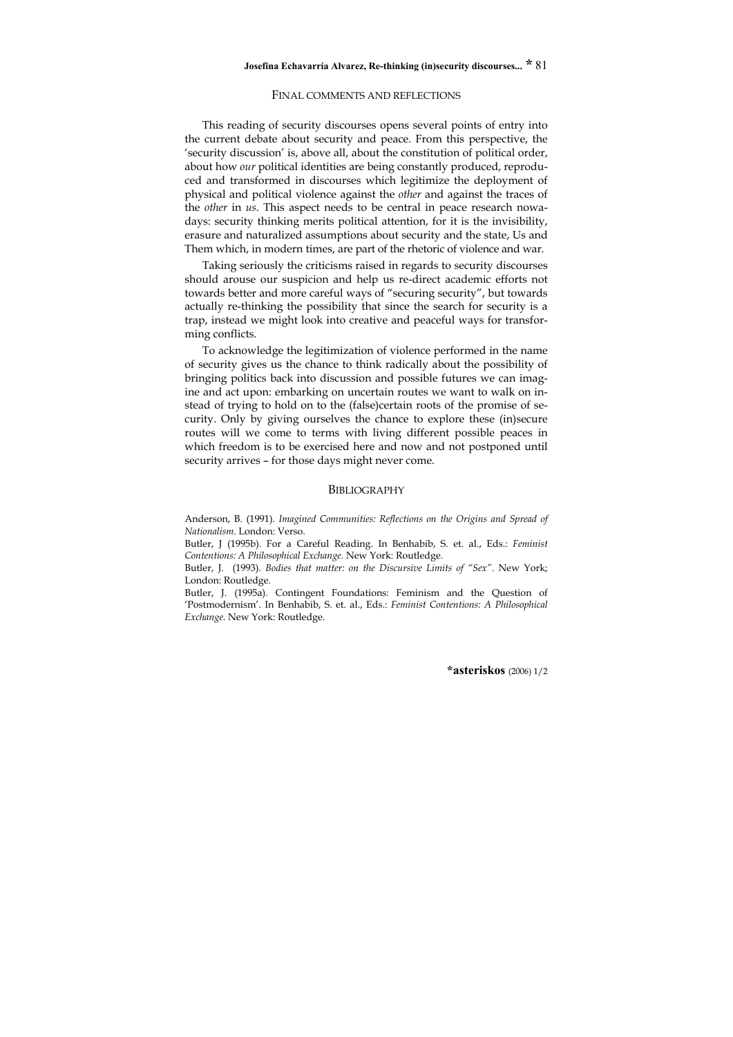#### FINAL COMMENTS AND REFLECTIONS

This reading of security discourses opens several points of entry into the current debate about security and peace. From this perspective, the 'security discussion' is, above all, about the constitution of political order, about how *our* political identities are being constantly produced, reproduced and transformed in discourses which legitimize the deployment of physical and political violence against the *other* and against the traces of the *other* in *us*. This aspect needs to be central in peace research nowadays: security thinking merits political attention, for it is the invisibility, erasure and naturalized assumptions about security and the state, Us and Them which, in modern times, are part of the rhetoric of violence and war.

Taking seriously the criticisms raised in regards to security discourses should arouse our suspicion and help us re-direct academic efforts not towards better and more careful ways of "securing security", but towards actually re-thinking the possibility that since the search for security is a trap, instead we might look into creative and peaceful ways for transforming conflicts.

To acknowledge the legitimization of violence performed in the name of security gives us the chance to think radically about the possibility of bringing politics back into discussion and possible futures we can imagine and act upon: embarking on uncertain routes we want to walk on instead of trying to hold on to the (false)certain roots of the promise of security. Only by giving ourselves the chance to explore these (in)secure routes will we come to terms with living different possible peaces in which freedom is to be exercised here and now and not postponed until security arrives – for those days might never come.

#### **BIBLIOGRAPHY**

Anderson, B. (1991). *Imagined Communities: Reflections on the Origins and Spread of Nationalism*. London: Verso.

Butler, J (1995b). For a Careful Reading. In Benhabib, S. et. al., Eds.: *Feminist Contentions: A Philosophical Exchange.* New York: Routledge.

Butler, J. (1993). *Bodies that matter: on the Discursive Limits of "Sex"*. New York; London: Routledge.

Butler, J. (1995a). Contingent Foundations: Feminism and the Question of 'Postmodernism'. In Benhabib, S. et. al., Eds.: *Feminist Contentions: A Philosophical Exchange.* New York: Routledge.